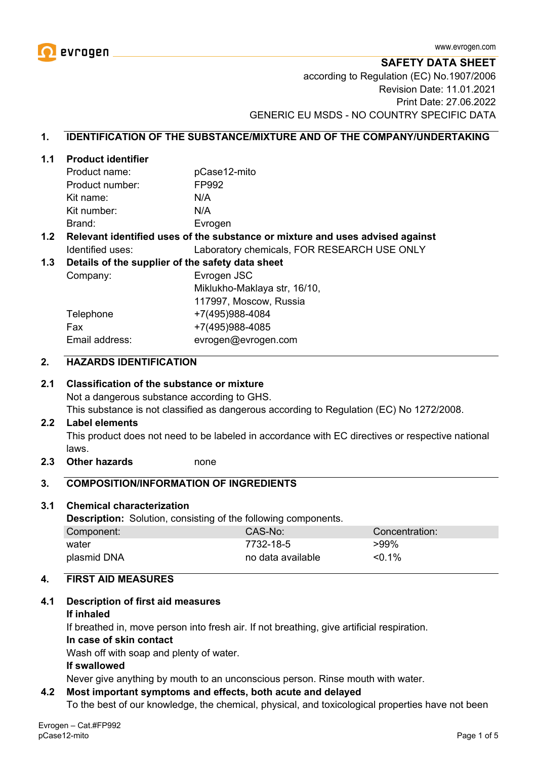

**SAFETY DATA SHEET**

according to Regulation (EC) No.1907/2006 Revision Date: 11.01.2021 Print Date: 27.06.2022 GENERIC EU MSDS - NO COUNTRY SPECIFIC DATA

#### **1. IDENTIFICATION OF THE SUBSTANCE/MIXTURE AND OF THE COMPANY/UNDERTAKING**

#### **1.1 Product identifier**

| Product name:   | pCase12-mito |
|-----------------|--------------|
| Product number: | FP992        |
| Kit name:       | N/A          |
| Kit number:     | N/A          |
| Brand:          | Evrogen      |

#### **1.2 Relevant identified uses of the substance or mixture and uses advised against** Identified uses: Laboratory chemicals, FOR RESEARCH USE ONLY

#### **1.3 Details of the supplier of the safety data sheet**

Company: Evrogen JSC Miklukho-Maklaya str, 16/10, 117997, Moscow, Russia Telephone +7(495)988-4084 Fax +7(495)988-4085 Email address: evrogen@evrogen.com

#### **2. HAZARDS IDENTIFICATION**

#### **2.1 Classification of the substance or mixture**

Not a dangerous substance according to GHS.

This substance is not classified as dangerous according to Regulation (EC) No 1272/2008.

#### **2.2 Label elements**

This product does not need to be labeled in accordance with EC directives or respective national laws.

**2.3 Other hazards** none

#### **3. COMPOSITION/INFORMATION OF INGREDIENTS**

#### **3.1 Chemical characterization**

**Description:** Solution, consisting of the following components.

| Component:  | CAS-No:           | ∖Concentration: |
|-------------|-------------------|-----------------|
| water       | 7732-18-5         | >99%            |
| plasmid DNA | no data available | $< 0.1\%$       |

#### **4. FIRST AID MEASURES**

#### **4.1 Description of first aid measures**

#### **If inhaled**

If breathed in, move person into fresh air. If not breathing, give artificial respiration.

#### **In case of skin contact**

Wash off with soap and plenty of water.

#### **If swallowed**

Never give anything by mouth to an unconscious person. Rinse mouth with water.

#### **4.2 Most important symptoms and effects, both acute and delayed**

To the best of our knowledge, the chemical, physical, and toxicological properties have not been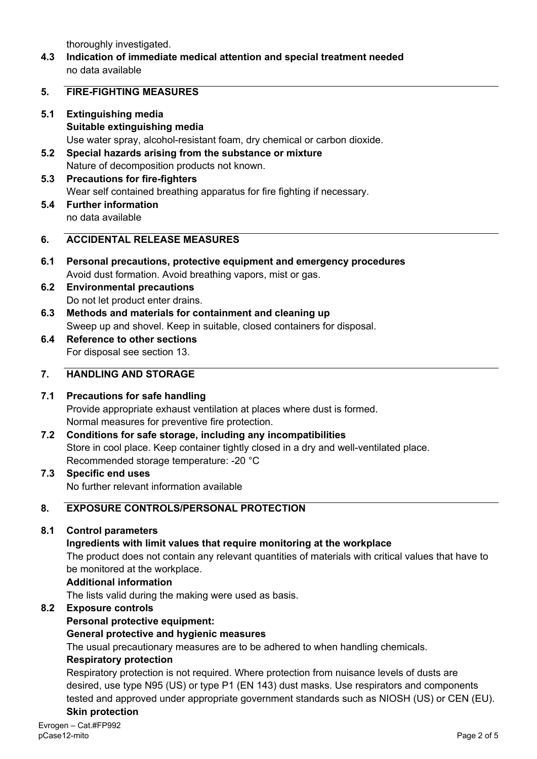thoroughly investigated.

**4.3 Indication of immediate medical attention and special treatment needed** no data available

#### **5. FIRE-FIGHTING MEASURES**

- **5.1 Extinguishing media Suitable extinguishing media** Use water spray, alcohol-resistant foam, dry chemical or carbon dioxide.
- **5.2 Special hazards arising from the substance or mixture** Nature of decomposition products not known.
- **5.3 Precautions for fire-fighters** Wear self contained breathing apparatus for fire fighting if necessary.
- **5.4 Further information** no data available

## **6. ACCIDENTAL RELEASE MEASURES**

- **6.1 Personal precautions, protective equipment and emergency procedures** Avoid dust formation. Avoid breathing vapors, mist or gas.
- **6.2 Environmental precautions** Do not let product enter drains.
- **6.3 Methods and materials for containment and cleaning up** Sweep up and shovel. Keep in suitable, closed containers for disposal.
- **6.4 Reference to other sections** For disposal see section 13.

## **7. HANDLING AND STORAGE**

## **7.1 Precautions for safe handling**

Provide appropriate exhaust ventilation at places where dust is formed. Normal measures for preventive fire protection.

- **7.2 Conditions for safe storage, including any incompatibilities** Store in cool place. Keep container tightly closed in a dry and well-ventilated place. Recommended storage temperature: -20 °C
- **7.3 Specific end uses** No further relevant information available

# **8. EXPOSURE CONTROLS/PERSONAL PROTECTION**

## **8.1 Control parameters**

## **Ingredients with limit values that require monitoring at the workplace**

The product does not contain any relevant quantities of materials with critical values that have to be monitored at the workplace.

#### **Additional information**

The lists valid during the making were used as basis.

## **8.2 Exposure controls**

## **Personal protective equipment:**

## **General protective and hygienic measures**

The usual precautionary measures are to be adhered to when handling chemicals.

#### **Respiratory protection**

Respiratory protection is not required. Where protection from nuisance levels of dusts are desired, use type N95 (US) or type P1 (EN 143) dust masks. Use respirators and components tested and approved under appropriate government standards such as NIOSH (US) or CEN (EU). **Skin protection**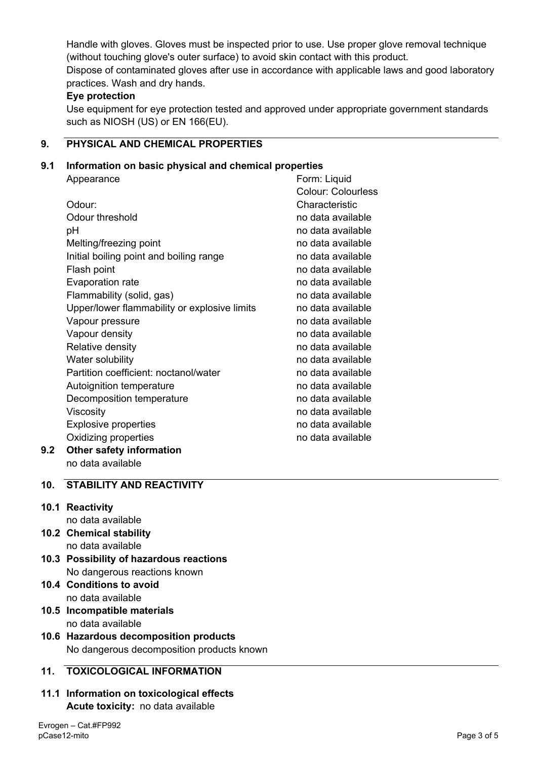Handle with gloves. Gloves must be inspected prior to use. Use proper glove removal technique (without touching glove's outer surface) to avoid skin contact with this product. Dispose of contaminated gloves after use in accordance with applicable laws and good laboratory practices. Wash and dry hands.

## **Eye protection**

Use equipment for eye protection tested and approved under appropriate government standards such as NIOSH (US) or EN 166(EU).

# **9. PHYSICAL AND CHEMICAL PROPERTIES**

## **9.1 Information on basic physical and chemical properties**

|     | Appearance                                   | Form: Liquid              |
|-----|----------------------------------------------|---------------------------|
|     |                                              | <b>Colour: Colourless</b> |
|     | Odour:                                       | Characteristic            |
|     | Odour threshold                              | no data available         |
|     | рH                                           | no data available         |
|     | Melting/freezing point                       | no data available         |
|     | Initial boiling point and boiling range      | no data available         |
|     | Flash point                                  | no data available         |
|     | Evaporation rate                             | no data available         |
|     | Flammability (solid, gas)                    | no data available         |
|     | Upper/lower flammability or explosive limits | no data available         |
|     | Vapour pressure                              | no data available         |
|     | Vapour density                               | no data available         |
|     | Relative density                             | no data available         |
|     | Water solubility                             | no data available         |
|     | Partition coefficient: noctanol/water        | no data available         |
|     | Autoignition temperature                     | no data available         |
|     | Decomposition temperature                    | no data available         |
|     | Viscosity                                    | no data available         |
|     | <b>Explosive properties</b>                  | no data available         |
|     | Oxidizing properties                         | no data available         |
| 9.2 | <b>Other safety information</b>              |                           |

no data available

# **10. STABILITY AND REACTIVITY**

# **10.1 Reactivity**

- no data available
- **10.2 Chemical stability** no data available
- **10.3 Possibility of hazardous reactions** No dangerous reactions known
- **10.4 Conditions to avoid** no data available
- **10.5 Incompatible materials** no data available
- **10.6 Hazardous decomposition products** No dangerous decomposition products known

# **11. TOXICOLOGICAL INFORMATION**

**11.1 Information on toxicological effects Acute toxicity:** no data available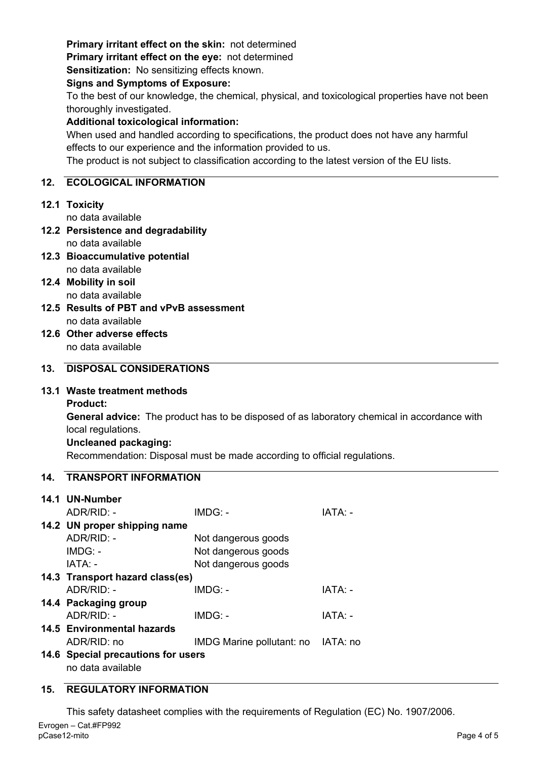# **Primary irritant effect on the skin:** not determined

**Primary irritant effect on the eye:** not determined

**Sensitization:** No sensitizing effects known.

#### **Signs and Symptoms of Exposure:**

To the best of our knowledge, the chemical, physical, and toxicological properties have not been thoroughly investigated.

## **Additional toxicological information:**

When used and handled according to specifications, the product does not have any harmful effects to our experience and the information provided to us.

The product is not subject to classification according to the latest version of the EU lists.

## **12. ECOLOGICAL INFORMATION**

# **12.1 Toxicity**

no data available

- **12.2 Persistence and degradability** no data available
- **12.3 Bioaccumulative potential** no data available
- **12.4 Mobility in soil** no data available
- **12.5 Results of PBT and vPvB assessment** no data available
- **12.6 Other adverse effects** no data available

# **13. DISPOSAL CONSIDERATIONS**

## **13.1 Waste treatment methods**

**Product:**

**General advice:** The product has to be disposed of as laboratory chemical in accordance with local regulations.

## **Uncleaned packaging:**

Recommendation: Disposal must be made according to official regulations.

## **14. TRANSPORT INFORMATION**

| 14.1 UN-Number                     |                                    |         |  |  |
|------------------------------------|------------------------------------|---------|--|--|
| $ADR/RID: -$                       | $IMDG: -$                          | IATA: - |  |  |
| 14.2 UN proper shipping name       |                                    |         |  |  |
| $ADR/RID: -$                       | Not dangerous goods                |         |  |  |
| $IMDG: -$                          | Not dangerous goods                |         |  |  |
| IATA: -                            | Not dangerous goods                |         |  |  |
| 14.3 Transport hazard class(es)    |                                    |         |  |  |
| $ADR/RID -$                        | $IMDG: -$                          | IATA: - |  |  |
| 14.4 Packaging group               |                                    |         |  |  |
| $ADR/RID: -$                       | IMDG: -                            | IATA: - |  |  |
| 14.5 Environmental hazards         |                                    |         |  |  |
| ADR/RID: no                        | IMDG Marine pollutant: no IATA: no |         |  |  |
| 14.6 Special precautions for users |                                    |         |  |  |
| no data available                  |                                    |         |  |  |

# **15. REGULATORY INFORMATION**

Evrogen – Cat.#FP992 pCase12-mito Page 4 of 5 This safety datasheet complies with the requirements of Regulation (EC) No. 1907/2006.